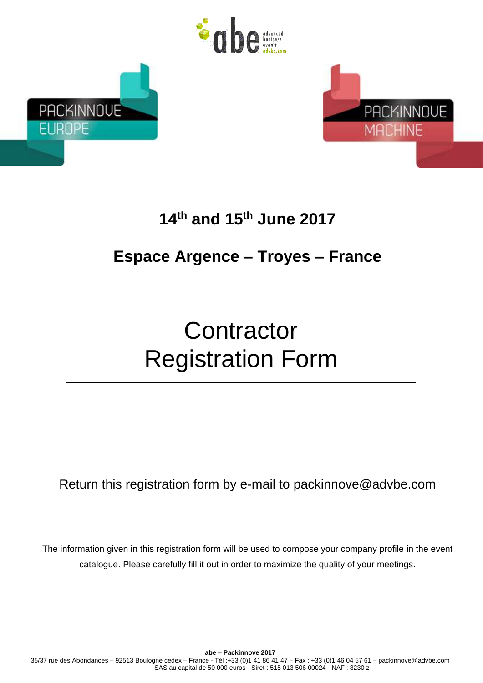





# **14 th and 15 th June 2017**

# **Espace Argence – Troyes – France**

# **Contractor** Registration Form

Return this registration form by e-mail to packinnove@advbe.com

The information given in this registration form will be used to compose your company profile in the event catalogue. Please carefully fill it out in order to maximize the quality of your meetings.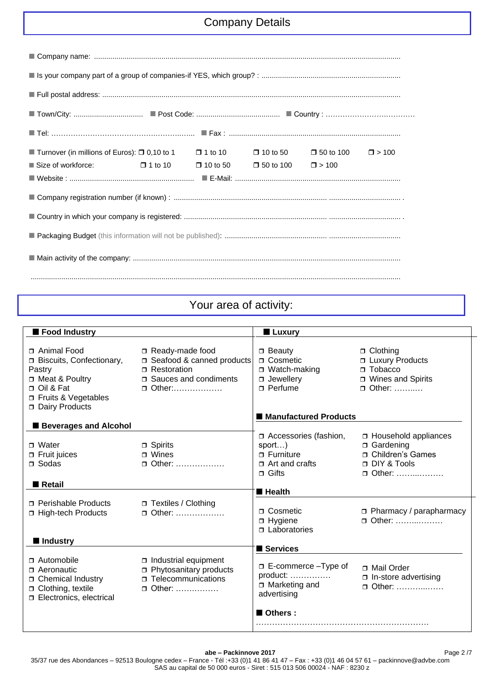# Company Details

| ■ Turnover (in millions of Euros): □ 0,10 to 1   □ 1 to 10     □ 10 to 50     □ 50 to 100     □ > 100 |  |  |  |  |  |  |
|-------------------------------------------------------------------------------------------------------|--|--|--|--|--|--|
| Size of workforce: $\Box$ 1 to 10 $\Box$ 10 to 50 $\Box$ 50 to 100 $\Box$ > 100                       |  |  |  |  |  |  |
|                                                                                                       |  |  |  |  |  |  |
|                                                                                                       |  |  |  |  |  |  |
|                                                                                                       |  |  |  |  |  |  |
|                                                                                                       |  |  |  |  |  |  |
|                                                                                                       |  |  |  |  |  |  |
|                                                                                                       |  |  |  |  |  |  |

# Your area of activity:

| Food Industry                |                                 | ■ Luxury                               |                                |
|------------------------------|---------------------------------|----------------------------------------|--------------------------------|
|                              |                                 |                                        |                                |
| □ Animal Food                | Ready-made food                 | $\Box$ Beauty                          | □ Clothing                     |
| Biscuits, Confectionary,     | Seafood & canned products       | <b>D</b> Cosmetic                      | □ Luxury Products              |
| Pastry                       | Restoration                     | $\Box$ Watch-making                    | $\Box$ Tobacco                 |
| □ Meat & Poultry             | □ Sauces and condiments         | $\Box$ Jewellery                       | □ Wines and Spirits            |
| □ Oil & Fat                  | $\Box$ Other:                   | $\Box$ Perfume                         | □ Other:                       |
| □ Fruits & Vegetables        |                                 |                                        |                                |
| Dairy Products               |                                 |                                        |                                |
|                              |                                 | ■ Manufactured Products                |                                |
| <b>Beverages and Alcohol</b> |                                 |                                        |                                |
|                              |                                 | Accessories (fashion,                  | □ Household appliances         |
| $\sqcap$ Water               | $\Box$ Spirits                  | sport)                                 | □ Gardening                    |
| $\Box$ Fruit juices          | $\blacksquare$ Wines            | $\Box$ Furniture                       | □ Children's Games             |
| $\sqcap$ Sodas               | $\Box$ Other:                   | $\Box$ Art and crafts                  | DIY & Tools                    |
|                              |                                 | $\sqcap$ Gifts                         | $\Box$ Other:                  |
| <b>■ Retail</b>              |                                 |                                        |                                |
|                              |                                 | $\blacksquare$ Health                  |                                |
| <b>n</b> Perishable Products | □ Textiles / Clothing           |                                        |                                |
| □ High-tech Products         | □ Other:                        | <b>D</b> Cosmetic                      | $\Box$ Pharmacy / parapharmacy |
|                              |                                 | $\Box$ Hygiene                         | $\Box$ Other:                  |
|                              |                                 | $\Box$ Laboratories                    |                                |
| ■ Industry                   |                                 | Services                               |                                |
|                              |                                 |                                        |                                |
| $\Box$ Automobile            | $\Box$ Industrial equipment     | □ E-commerce - Type of                 | □ Mail Order                   |
| $\sqcap$ Aeronautic          | <b>D</b> Phytosanitary products | $product: \ldots \ldots \ldots \ldots$ | n-store advertising            |
| □ Chemical Industry          | <b>Telecommunications</b>       | □ Marketing and                        | □ Other:                       |
| □ Clothing, textile          | □ Other:                        | advertising                            |                                |
| Electronics, electrical      |                                 |                                        |                                |
|                              |                                 | Others:                                |                                |
|                              |                                 |                                        |                                |

Page 2 /7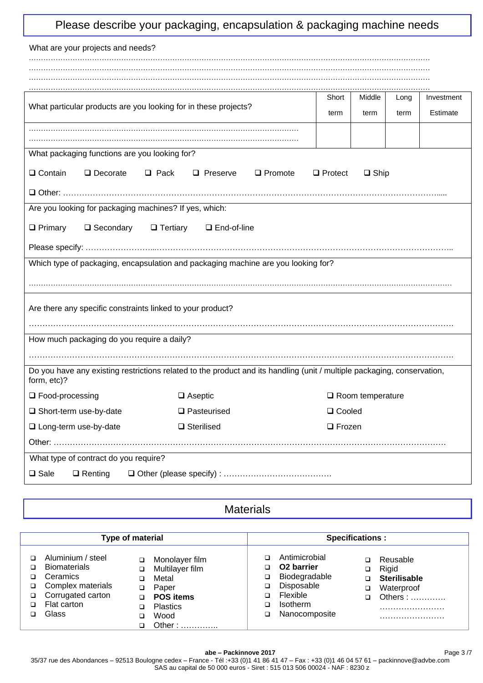|  |  | Please describe your packaging, encapsulation & packaging machine needs |  |  |
|--|--|-------------------------------------------------------------------------|--|--|
|  |  |                                                                         |  |  |

| What are your projects and needs?                                                                                                      |                |                |      |            |  |
|----------------------------------------------------------------------------------------------------------------------------------------|----------------|----------------|------|------------|--|
|                                                                                                                                        |                |                |      |            |  |
|                                                                                                                                        |                |                |      |            |  |
| What particular products are you looking for in these projects?                                                                        | Short          | Middle         | Long | Investment |  |
|                                                                                                                                        | term           | term           | term | Estimate   |  |
|                                                                                                                                        |                |                |      |            |  |
| What packaging functions are you looking for?                                                                                          |                |                |      |            |  |
| □ Contain<br>$\Box$ Decorate<br>$\Box$ Pack<br>$\Box$ Preserve<br>$\Box$ Promote                                                       | $\Box$ Protect | $\square$ Ship |      |            |  |
|                                                                                                                                        |                |                |      |            |  |
| Are you looking for packaging machines? If yes, which:                                                                                 |                |                |      |            |  |
| $\Box$ Primary<br>□ Secondary<br>□ Tertiary<br>□ End-of-line                                                                           |                |                |      |            |  |
|                                                                                                                                        |                |                |      |            |  |
|                                                                                                                                        |                |                |      |            |  |
| Which type of packaging, encapsulation and packaging machine are you looking for?                                                      |                |                |      |            |  |
|                                                                                                                                        |                |                |      |            |  |
| Are there any specific constraints linked to your product?                                                                             |                |                |      |            |  |
|                                                                                                                                        |                |                |      |            |  |
| How much packaging do you require a daily?                                                                                             |                |                |      |            |  |
|                                                                                                                                        |                |                |      |            |  |
| Do you have any existing restrictions related to the product and its handling (unit / multiple packaging, conservation,<br>form, etc)? |                |                |      |            |  |
| □ Food-processing<br>$\Box$ Aseptic<br>$\Box$ Room temperature                                                                         |                |                |      |            |  |
| $\square$ Pasteurised<br>Short-term use-by-date                                                                                        | □ Cooled       |                |      |            |  |
| □ Long-term use-by-date<br>$\Box$ Sterilised<br>$\Box$ Frozen                                                                          |                |                |      |            |  |
|                                                                                                                                        |                |                |      |            |  |
| What type of contract do you require?                                                                                                  |                |                |      |            |  |
| $\square$ Sale<br>$\Box$ Renting                                                                                                       |                |                |      |            |  |

**Materials** 

| Type of material                                                                                                            |                                                                                                                                                    | <b>Specifications:</b>                                                                                                                                                                                                               |
|-----------------------------------------------------------------------------------------------------------------------------|----------------------------------------------------------------------------------------------------------------------------------------------------|--------------------------------------------------------------------------------------------------------------------------------------------------------------------------------------------------------------------------------------|
| Aluminium / steel<br><b>Biomaterials</b><br>Ceramics<br>Complex materials<br>□<br>Corrugated carton<br>Flat carton<br>Glass | Monolayer film<br>□<br>Multilayer film<br>$\Box$<br>Metal<br>◻<br>Paper<br>$\Box$<br><b>POS items</b><br>$\Box$<br>Plastics<br>◻<br>Wood<br>Other: | Antimicrobial<br>Reusable<br>O <sub>2</sub> barrier<br>0<br>Rigid<br>$\Box$<br>Biodegradable<br>o.<br><b>Sterilisable</b><br>Disposable<br>◻<br>Waterproof<br>▫<br>Flexible<br>□<br>Others:<br><b>Isotherm</b><br>Nanocomposite<br>◻ |

#### **abe – Packinnove 2017** 35/37 rue des Abondances – 92513 Boulogne cedex – France - Tél :+33 (0)1 41 86 41 47 – Fax : +33 (0)1 46 04 57 61 – [packinnove@advbe.com](mailto:packinnove@advbe.com) SAS au capital de 50 000 euros - Siret : 515 013 506 00024 - NAF : 8230 z Page 3 /7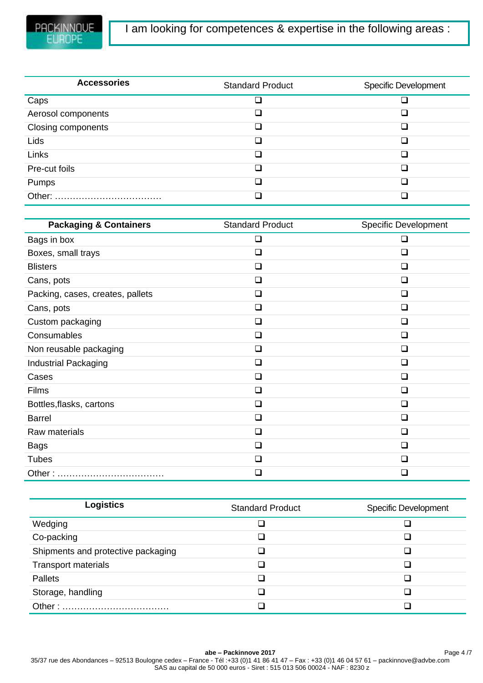| <b>Accessories</b>        | <b>Standard Product</b> | <b>Specific Development</b> |
|---------------------------|-------------------------|-----------------------------|
| Caps                      |                         |                             |
| Aerosol components        |                         |                             |
| <b>Closing components</b> |                         |                             |
| Lids                      |                         |                             |
| Links                     |                         |                             |
| Pre-cut foils             |                         |                             |
| Pumps                     |                         |                             |
|                           |                         | n                           |

| <b>Packaging &amp; Containers</b> | <b>Standard Product</b>  | <b>Specific Development</b> |
|-----------------------------------|--------------------------|-----------------------------|
| Bags in box                       | ❏                        | $\Box$                      |
| Boxes, small trays                | $\sqcup$                 | $\Box$                      |
| <b>Blisters</b>                   | H                        | П                           |
| Cans, pots                        | □                        | □                           |
| Packing, cases, creates, pallets  | ❏                        | ∩                           |
| Cans, pots                        | ⊔                        | $\Box$                      |
| Custom packaging                  | ◻                        | ∩                           |
| Consumables                       | ⊔                        | ∩                           |
| Non reusable packaging            | ப                        | n                           |
| <b>Industrial Packaging</b>       | $\overline{\phantom{a}}$ | ∩                           |
| Cases                             | H                        | ∩                           |
| Films                             | П                        | ∩                           |
| Bottles, flasks, cartons          | □                        | ∩                           |
| <b>Barrel</b>                     | □                        | □                           |
| Raw materials                     | ❏                        | □                           |
| <b>Bags</b>                       | ❏                        | ∩                           |
| <b>Tubes</b>                      | H                        | l 1                         |
| Other:                            | $\blacksquare$           | П                           |

| <b>Logistics</b>                   | <b>Standard Product</b> | <b>Specific Development</b> |
|------------------------------------|-------------------------|-----------------------------|
| Wedging                            |                         |                             |
| Co-packing                         |                         |                             |
| Shipments and protective packaging |                         |                             |
| <b>Transport materials</b>         |                         |                             |
| <b>Pallets</b>                     |                         |                             |
| Storage, handling                  |                         |                             |
| Other:                             |                         |                             |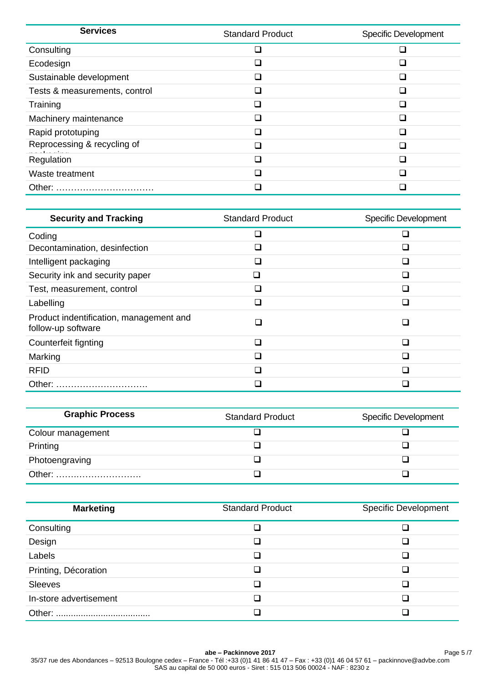| <b>Services</b>               | <b>Standard Product</b>  | <b>Specific Development</b> |
|-------------------------------|--------------------------|-----------------------------|
| Consulting                    | n.                       |                             |
| Ecodesign                     |                          |                             |
| Sustainable development       | $\overline{\phantom{a}}$ | П                           |
| Tests & measurements, control |                          |                             |
| Training                      |                          |                             |
| Machinery maintenance         | i l                      |                             |
| Rapid prototuping             |                          |                             |
| Reprocessing & recycling of   | $\overline{\phantom{a}}$ |                             |
| Regulation                    | ×.                       |                             |
| Waste treatment               | $\mathcal{L}$            |                             |
|                               |                          |                             |

| <b>Security and Tracking</b>                                  | <b>Standard Product</b>     | <b>Specific Development</b> |
|---------------------------------------------------------------|-----------------------------|-----------------------------|
| Coding                                                        | $\sim$                      |                             |
| Decontamination, desinfection                                 |                             |                             |
| Intelligent packaging                                         |                             |                             |
| Security ink and security paper                               |                             |                             |
| Test, measurement, control                                    | $\mathcal{L}_{\mathcal{A}}$ |                             |
| Labelling                                                     | $\sim$                      | H                           |
| Product indentification, management and<br>follow-up software | П                           | П                           |
| Counterfeit fignting                                          | □                           | ∩                           |
| Marking                                                       | $\mathcal{L}_{\mathcal{A}}$ | П                           |
| <b>RFID</b>                                                   |                             |                             |
| Other:                                                        |                             |                             |

| <b>Graphic Process</b> | <b>Standard Product</b> | <b>Specific Development</b> |
|------------------------|-------------------------|-----------------------------|
| Colour management      |                         |                             |
| Printing               |                         |                             |
| Photoengraving         |                         |                             |
|                        |                         |                             |

| <b>Marketing</b>       | <b>Standard Product</b>  | <b>Specific Development</b> |
|------------------------|--------------------------|-----------------------------|
| Consulting             |                          |                             |
| Design                 |                          |                             |
| Labels                 | - 1                      |                             |
| Printing, Décoration   |                          |                             |
| <b>Sleeves</b>         | $\overline{\phantom{a}}$ |                             |
| In-store advertisement |                          |                             |
|                        |                          |                             |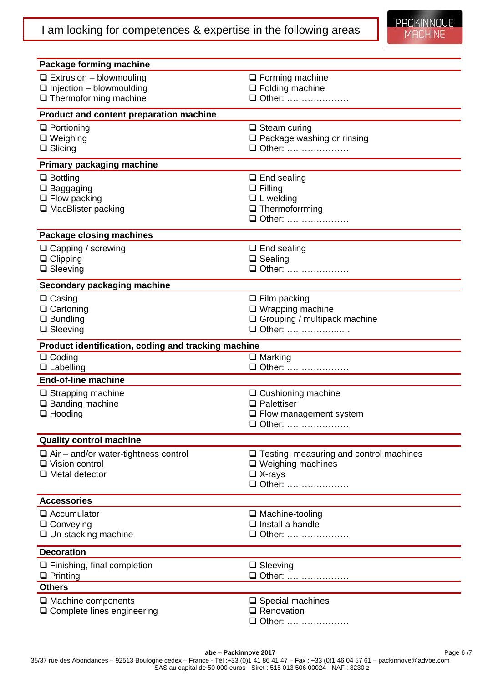| Package forming machine                             |                                                |  |  |
|-----------------------------------------------------|------------------------------------------------|--|--|
| $\Box$ Extrusion – blowmouling                      | $\Box$ Forming machine                         |  |  |
| $\Box$ Injection - blowmoulding                     | $\Box$ Folding machine                         |  |  |
| $\Box$ Thermoforming machine                        | □ Other:                                       |  |  |
| Product and content preparation machine             |                                                |  |  |
| $\Box$ Portioning                                   | $\Box$ Steam curing                            |  |  |
| $\Box$ Weighing                                     | □ Package washing or rinsing                   |  |  |
| $\Box$ Slicing                                      | □ Other:                                       |  |  |
| <b>Primary packaging machine</b>                    |                                                |  |  |
| $\Box$ Bottling                                     | $\Box$ End sealing                             |  |  |
| $\square$ Baggaging                                 | $\Box$ Filling                                 |  |  |
| $\Box$ Flow packing                                 | $\Box$ L welding                               |  |  |
| $\Box$ MacBlister packing                           | $\Box$ Thermoforrming<br>□ Other:              |  |  |
|                                                     |                                                |  |  |
| Package closing machines                            |                                                |  |  |
| $\Box$ Capping / screwing                           | $\Box$ End sealing                             |  |  |
| $\Box$ Clipping                                     | $\Box$ Sealing                                 |  |  |
| $\Box$ Sleeving                                     | □ Other:                                       |  |  |
| Secondary packaging machine                         |                                                |  |  |
| $\Box$ Casing                                       | $\Box$ Film packing                            |  |  |
| $\Box$ Cartoning                                    | $\Box$ Wrapping machine                        |  |  |
| $\Box$ Bundling<br>$\Box$ Sleeving                  | □ Grouping / multipack machine<br>□ Other:     |  |  |
|                                                     |                                                |  |  |
| Product identification, coding and tracking machine |                                                |  |  |
| $\Box$ Coding<br>$\Box$ Labelling                   | $\overline{\square}$ Marking<br>□ Other:       |  |  |
| <b>End-of-line machine</b>                          |                                                |  |  |
| $\Box$ Strapping machine                            | □ Cushioning machine                           |  |  |
| $\Box$ Banding machine                              | $\Box$ Palettiser                              |  |  |
| $\Box$ Hooding                                      | $\Box$ Flow management system                  |  |  |
|                                                     | □ Other:                                       |  |  |
| <b>Quality control machine</b>                      |                                                |  |  |
| $\Box$ Air – and/or water-tightness control         | $\Box$ Testing, measuring and control machines |  |  |
| $\Box$ Vision control                               | $\Box$ Weighing machines                       |  |  |
| $\Box$ Metal detector                               | $\Box$ X-rays<br>□ Other:                      |  |  |
|                                                     |                                                |  |  |
| <b>Accessories</b>                                  |                                                |  |  |
| $\Box$ Accumulator                                  | $\Box$ Machine-tooling                         |  |  |
| $\Box$ Conveying                                    | $\Box$ Install a handle<br>□ Other:            |  |  |
| $\Box$ Un-stacking machine                          |                                                |  |  |
| <b>Decoration</b>                                   |                                                |  |  |
| $\Box$ Finishing, final completion                  | $\Box$ Sleeving                                |  |  |
| $\Box$ Printing                                     |                                                |  |  |
| <b>Others</b>                                       |                                                |  |  |
| $\Box$ Machine components                           | $\Box$ Special machines                        |  |  |
| $\Box$ Complete lines engineering                   | $\Box$ Renovation<br>□ Other:                  |  |  |
|                                                     |                                                |  |  |